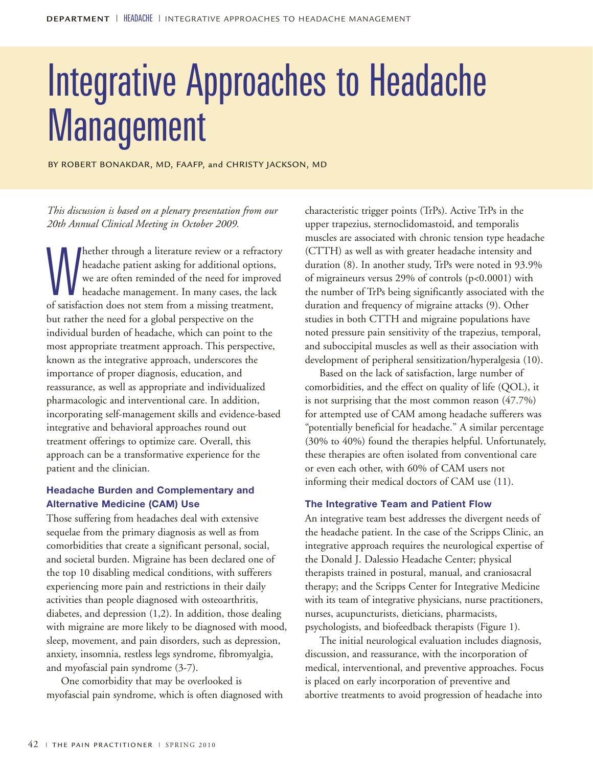# Integrative Approaches to Headache **Management**

BY ROBERT BONAKDAR, MD, FAAFP, and CHRISTY JACKSON, MD

*This discussion is based on a plenary presentation from our 20th Annual Clinical Meeting in October 2009.*

whether through a literature review or a refractomed beadache patient asking for additional options we are often reminded of the need for improve headache management. In many cases, the lack of satisfaction does not stem f hether through a literature review or a refractory headache patient asking for additional options, we are often reminded of the need for improved headache management. In many cases, the lack but rather the need for a global perspective on the individual burden of headache, which can point to the most appropriate treatment approach. This perspective, known as the integrative approach, underscores the importance of proper diagnosis, education, and reassurance, as well as appropriate and individualized pharmacologic and interventional care. In addition, incorporating self-management skills and evidence-based integrative and behavioral approaches round out treatment offerings to optimize care. Overall, this approach can be a transformative experience for the patient and the clinician.

### **Headache Burden and Complementary and Alternative Medicine (CAM) Use**

Those suffering from headaches deal with extensive sequelae from the primary diagnosis as well as from comorbidities that create a significant personal, social, and societal burden. Migraine has been declared one of the top 10 disabling medical conditions, with sufferers experiencing more pain and restrictions in their daily activities than people diagnosed with osteoarthritis, diabetes, and depression (1,2). In addition, those dealing with migraine are more likely to be diagnosed with mood, sleep, movement, and pain disorders, such as depression, anxiety, insomnia, restless legs syndrome, fibromyalgia, and myofascial pain syndrome (3-7).

One comorbidity that may be overlooked is myofascial pain syndrome, which is often diagnosed with characteristic trigger points (TrPs). Active TrPs in the upper trapezius, sternoclidomastoid, and temporalis muscles are associated with chronic tension type headache (CTTH) as well as with greater headache intensity and duration (8). In another study, TrPs were noted in 93.9% of migraineurs versus 29% of controls (p<0.0001) with the number of TrPs being significantly associated with the duration and frequency of migraine attacks (9). Other studies in both CTTH and migraine populations have noted pressure pain sensitivity of the trapezius, temporal, and suboccipital muscles as well as their association with development of peripheral sensitization/hyperalgesia (10).

Based on the lack of satisfaction, large number of comorbidities, and the effect on quality of life (QOL), it is not surprising that the most common reason (47.7%) for attempted use of CAM among headache sufferers was "potentially beneficial for headache." A similar percentage (30% to 40%) found the therapies helpful. Unfortunately, these therapies are often isolated from conventional care or even each other, with 60% of CAM users not informing their medical doctors of CAM use (11).

#### **The Integrative Team and Patient Flow**

An integrative team best addresses the divergent needs of the headache patient. In the case of the Scripps Clinic, an integrative approach requires the neurological expertise of the Donald J. Dalessio Headache Center; physical therapists trained in postural, manual, and craniosacral therapy; and the Scripps Center for Integrative Medicine with its team of integrative physicians, nurse practitioners, nurses, acupuncturists, dieticians, pharmacists, psychologists, and biofeedback therapists (Figure 1).

The initial neurological evaluation includes diagnosis, discussion, and reassurance, with the incorporation of medical, interventional, and preventive approaches. Focus is placed on early incorporation of preventive and abortive treatments to avoid progression of headache into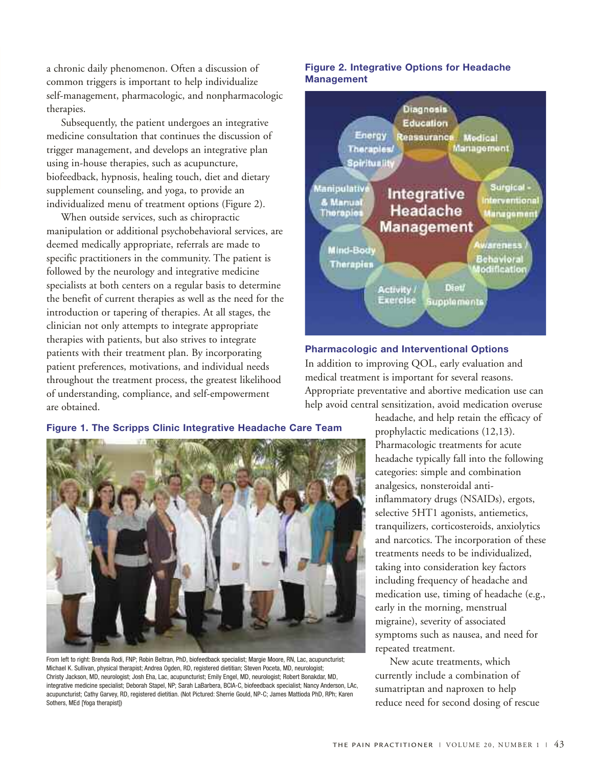a chronic daily phenomenon. Often a discussion of common triggers is important to help individualize self-management, pharmacologic, and nonpharmacologic therapies.

Subsequently, the patient undergoes an integrative medicine consultation that continues the discussion of trigger management, and develops an integrative plan using in-house therapies, such as acupuncture, biofeedback, hypnosis, healing touch, diet and dietary supplement counseling, and yoga, to provide an individualized menu of treatment options (Figure 2).

When outside services, such as chiropractic manipulation or additional psychobehavioral services, are deemed medically appropriate, referrals are made to specific practitioners in the community. The patient is followed by the neurology and integrative medicine specialists at both centers on a regular basis to determine the benefit of current therapies as well as the need for the introduction or tapering of therapies. At all stages, the clinician not only attempts to integrate appropriate therapies with patients, but also strives to integrate patients with their treatment plan. By incorporating patient preferences, motivations, and individual needs throughout the treatment process, the greatest likelihood of understanding, compliance, and self-empowerment are obtained.

#### **Figure 2. Integrative Options for Headache Management**



#### **Pharmacologic and Interventional Options**

In addition to improving QOL, early evaluation and medical treatment is important for several reasons. Appropriate preventative and abortive medication use can help avoid central sensitization, avoid medication overuse



From left to right: Brenda Rodi, FNP; Robin Beltran, PhD, biofeedback specialist; Margie Moore, RN, Lac, acupuncturist; Michael K. Sullivan, physical therapist; Andrea Ogden, RD, registered dietitian; Steven Poceta, MD, neurologist; Christy Jackson, MD, neurologist; Josh Eha, Lac, acupuncturist; Emily Engel, MD, neurologist; Robert Bonakdar, MD, integrative medicine specialist; Deborah Stapel, NP; Sarah LaBarbera, BCIA-C, biofeedback specialist; Nancy Anderson, LAc, acupuncturist; Cathy Garvey, RD, registered dietitian. (Not Pictured: Sherrie Gould, NP-C; James Mattioda PhD, RPh; Karen Sothers, MEd [Yoga therapist])

headache, and help retain the efficacy of prophylactic medications (12,13). Pharmacologic treatments for acute headache typically fall into the following categories: simple and combination analgesics, nonsteroidal antiinflammatory drugs (NSAIDs), ergots, selective 5HT1 agonists, antiemetics, tranquilizers, corticosteroids, anxiolytics and narcotics. The incorporation of these treatments needs to be individualized, taking into consideration key factors including frequency of headache and medication use, timing of headache (e.g., early in the morning, menstrual migraine), severity of associated symptoms such as nausea, and need for repeated treatment.

New acute treatments, which currently include a combination of sumatriptan and naproxen to help reduce need for second dosing of rescue

**Figure 1. The Scripps Clinic Integrative Headache Care Team**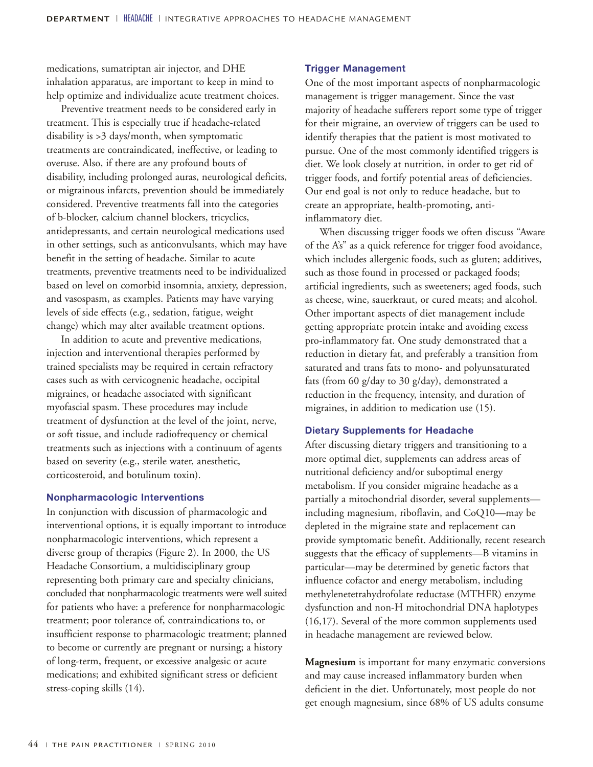medications, sumatriptan air injector, and DHE inhalation apparatus, are important to keep in mind to help optimize and individualize acute treatment choices.

Preventive treatment needs to be considered early in treatment. This is especially true if headache-related disability is >3 days/month, when symptomatic treatments are contraindicated, ineffective, or leading to overuse. Also, if there are any profound bouts of disability, including prolonged auras, neurological deficits, or migrainous infarcts, prevention should be immediately considered. Preventive treatments fall into the categories of b-blocker, calcium channel blockers, tricyclics, antidepressants, and certain neurological medications used in other settings, such as anticonvulsants, which may have benefit in the setting of headache. Similar to acute treatments, preventive treatments need to be individualized based on level on comorbid insomnia, anxiety, depression, and vasospasm, as examples. Patients may have varying levels of side effects (e.g., sedation, fatigue, weight change) which may alter available treatment options.

In addition to acute and preventive medications, injection and interventional therapies performed by trained specialists may be required in certain refractory cases such as with cervicognenic headache, occipital migraines, or headache associated with significant myofascial spasm. These procedures may include treatment of dysfunction at the level of the joint, nerve, or soft tissue, and include radiofrequency or chemical treatments such as injections with a continuum of agents based on severity (e.g., sterile water, anesthetic, corticosteroid, and botulinum toxin).

#### **Nonpharmacologic Interventions**

In conjunction with discussion of pharmacologic and interventional options, it is equally important to introduce nonpharmacologic interventions, which represent a diverse group of therapies (Figure 2). In 2000, the US Headache Consortium, a multidisciplinary group representing both primary care and specialty clinicians, concluded that nonpharmacologic treatments were well suited for patients who have: a preference for nonpharmacologic treatment; poor tolerance of, contraindications to, or insufficient response to pharmacologic treatment; planned to become or currently are pregnant or nursing; a history of long-term, frequent, or excessive analgesic or acute medications; and exhibited significant stress or deficient stress-coping skills (14).

#### **Trigger Management**

One of the most important aspects of nonpharmacologic management is trigger management. Since the vast majority of headache sufferers report some type of trigger for their migraine, an overview of triggers can be used to identify therapies that the patient is most motivated to pursue. One of the most commonly identified triggers is diet. We look closely at nutrition, in order to get rid of trigger foods, and fortify potential areas of deficiencies. Our end goal is not only to reduce headache, but to create an appropriate, health-promoting, antiinflammatory diet.

When discussing trigger foods we often discuss "Aware of the A's" as a quick reference for trigger food avoidance, which includes allergenic foods, such as gluten; additives, such as those found in processed or packaged foods; artificial ingredients, such as sweeteners; aged foods, such as cheese, wine, sauerkraut, or cured meats; and alcohol. Other important aspects of diet management include getting appropriate protein intake and avoiding excess pro-inflammatory fat. One study demonstrated that a reduction in dietary fat, and preferably a transition from saturated and trans fats to mono- and polyunsaturated fats (from 60 g/day to 30 g/day), demonstrated a reduction in the frequency, intensity, and duration of migraines, in addition to medication use (15).

#### **Dietary Supplements for Headache**

After discussing dietary triggers and transitioning to a more optimal diet, supplements can address areas of nutritional deficiency and/or suboptimal energy metabolism. If you consider migraine headache as a partially a mitochondrial disorder, several supplements including magnesium, riboflavin, and CoQ10—may be depleted in the migraine state and replacement can provide symptomatic benefit. Additionally, recent research suggests that the efficacy of supplements—B vitamins in particular—may be determined by genetic factors that influence cofactor and energy metabolism, including methylenetetrahydrofolate reductase (MTHFR) enzyme dysfunction and non-H mitochondrial DNA haplotypes (16,17). Several of the more common supplements used in headache management are reviewed below.

**Magnesium** is important for many enzymatic conversions and may cause increased inflammatory burden when deficient in the diet. Unfortunately, most people do not get enough magnesium, since 68% of US adults consume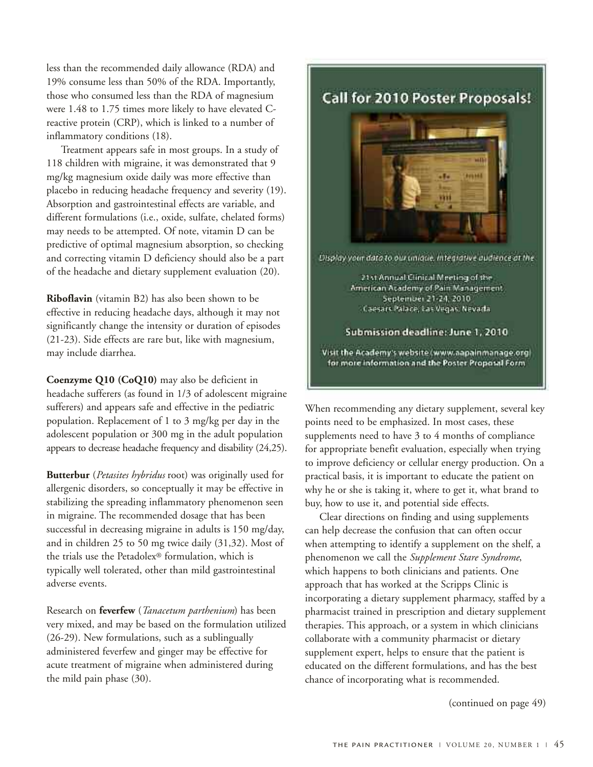less than the recommended daily allowance (RDA) and 19% consume less than 50% of the RDA. Importantly, those who consumed less than the RDA of magnesium were 1.48 to 1.75 times more likely to have elevated Creactive protein (CRP), which is linked to a number of inflammatory conditions (18).

Treatment appears safe in most groups. In a study of 118 children with migraine, it was demonstrated that 9 mg/kg magnesium oxide daily was more effective than placebo in reducing headache frequency and severity (19). Absorption and gastrointestinal effects are variable, and different formulations (i.e., oxide, sulfate, chelated forms) may needs to be attempted. Of note, vitamin D can be predictive of optimal magnesium absorption, so checking and correcting vitamin D deficiency should also be a part of the headache and dietary supplement evaluation (20).

**Riboflavin** (vitamin B2) has also been shown to be effective in reducing headache days, although it may not significantly change the intensity or duration of episodes (21-23). Side effects are rare but, like with magnesium, may include diarrhea.

**Coenzyme Q10 (CoQ10)** may also be deficient in headache sufferers (as found in 1/3 of adolescent migraine sufferers) and appears safe and effective in the pediatric population. Replacement of 1 to 3 mg/kg per day in the adolescent population or 300 mg in the adult population appears to decrease headache frequency and disability (24,25).

**Butterbur** (*Petasites hybridus* root) was originally used for allergenic disorders, so conceptually it may be effective in stabilizing the spreading inflammatory phenomenon seen in migraine. The recommended dosage that has been successful in decreasing migraine in adults is 150 mg/day, and in children 25 to 50 mg twice daily (31,32). Most of the trials use the Petadolex® formulation, which is typically well tolerated, other than mild gastrointestinal adverse events.

Research on **feverfew** (*Tanacetum parthenium*) has been very mixed, and may be based on the formulation utilized (26-29). New formulations, such as a sublingually administered feverfew and ginger may be effective for acute treatment of migraine when administered during the mild pain phase (30).



When recommending any dietary supplement, several key points need to be emphasized. In most cases, these supplements need to have 3 to 4 months of compliance for appropriate benefit evaluation, especially when trying to improve deficiency or cellular energy production. On a practical basis, it is important to educate the patient on why he or she is taking it, where to get it, what brand to buy, how to use it, and potential side effects.

Clear directions on finding and using supplements can help decrease the confusion that can often occur when attempting to identify a supplement on the shelf, a phenomenon we call the *Supplement Stare Syndrome*, which happens to both clinicians and patients. One approach that has worked at the Scripps Clinic is incorporating a dietary supplement pharmacy, staffed by a pharmacist trained in prescription and dietary supplement therapies. This approach, or a system in which clinicians collaborate with a community pharmacist or dietary supplement expert, helps to ensure that the patient is educated on the different formulations, and has the best chance of incorporating what is recommended.

(continued on page 49)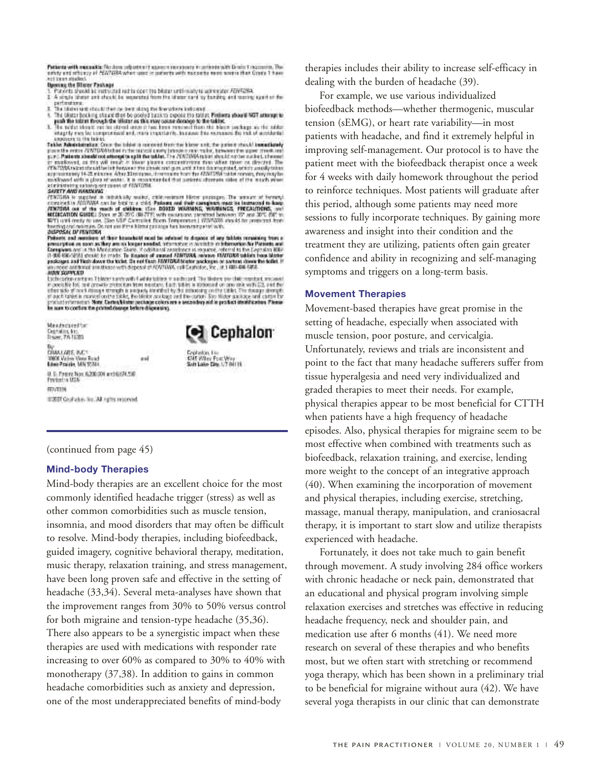Petterta with maximitiz Neckers soluters it assume more corp. In subsets with Drain Tragesmite, The safety and reflexing of PENTORA when used in patients with mackets more severa than Crack Thanks.<br>Act beam models

- Dieseing the Oliver Fusikage<br>3. Pararta arasist da manustad mat ia sport ha bliatar until mady ta acronator FSMTaSA.<br>2. A single tibetat and aboute to magazataj from the iduntor card by funding and maring egacher die.
- 
- 
- 
- performance.<br>The identity are the basic than the basic state of the values in the state of the identity of the intervent control of the property of the state of the property and the state of the property of the state of th ¥. copyright to the teared

Table Administration: Once the total is automobilization into these unit, the points should insumitately point to enter ONVIDEN table in the total is only introduced procedure that a part is enter ONVIDEN to the translati synthesed with a gloss of water. It is incommented that patients aborrate sides of the mouth mines<br>administering extensy our count of filth collection. **ACCEPTED AND READY AS** 

SARETY AND HARDWAYS in reliable by model, chile restraint likest processes. The minority of formula<br>correlation in regular and to busine a click Passas and their campions must be increased to have<br>strained as a state that

freeding our models. On the ani first himself must be advanced to dispose of any fability remaining from a Disposal and matches of the leasehold must be advanced to dispose at any fability remaining from a presentation of

must superiority in This<br>contribution of the control of the state of the state of the bidges by children<br>in the state of our answer protection from numbers, East Jubin is approach on one only with CA, and the<br>inferral of o

mail

Maszterstecher Cennetty, No.<br>Travec, 776 18383 1990 Valies View Road<br>Edwa Praizle, MN 95844 U. S. Pager Non 6200001 and 60091250<br>Presistos MSA REVITAN

#2007 Coulfield-in No. All Justice respected.



Györicken, Kim<br>4745 Wäes: Poet Vélep<br>Sieh Ladie: City, U7 Brit (8

#### (continued from page 45)

#### **Mind-body Therapies**

Mind-body therapies are an excellent choice for the most commonly identified headache trigger (stress) as well as other common comorbidities such as muscle tension, insomnia, and mood disorders that may often be difficult to resolve. Mind-body therapies, including biofeedback, guided imagery, cognitive behavioral therapy, meditation, music therapy, relaxation training, and stress management, have been long proven safe and effective in the setting of headache (33,34). Several meta-analyses have shown that the improvement ranges from 30% to 50% versus control for both migraine and tension-type headache (35,36). There also appears to be a synergistic impact when these therapies are used with medications with responder rate increasing to over 60% as compared to 30% to 40% with monotherapy (37,38). In addition to gains in common headache comorbidities such as anxiety and depression, one of the most underappreciated benefits of mind-body

therapies includes their ability to increase self-efficacy in dealing with the burden of headache (39).

For example, we use various individualized biofeedback methods—whether thermogenic, muscular tension (sEMG), or heart rate variability—in most patients with headache, and find it extremely helpful in improving self-management. Our protocol is to have the patient meet with the biofeedback therapist once a week for 4 weeks with daily homework throughout the period to reinforce techniques. Most patients will graduate after this period, although some patients may need more sessions to fully incorporate techniques. By gaining more awareness and insight into their condition and the treatment they are utilizing, patients often gain greater confidence and ability in recognizing and self-managing symptoms and triggers on a long-term basis.

#### **Movement Therapies**

Movement-based therapies have great promise in the setting of headache, especially when associated with muscle tension, poor posture, and cervicalgia. Unfortunately, reviews and trials are inconsistent and point to the fact that many headache sufferers suffer from tissue hyperalgesia and need very individualized and graded therapies to meet their needs. For example, physical therapies appear to be most beneficial for CTTH when patients have a high frequency of headache episodes. Also, physical therapies for migraine seem to be most effective when combined with treatments such as biofeedback, relaxation training, and exercise, lending more weight to the concept of an integrative approach (40). When examining the incorporation of movement and physical therapies, including exercise, stretching, massage, manual therapy, manipulation, and craniosacral therapy, it is important to start slow and utilize therapists experienced with headache.

Fortunately, it does not take much to gain benefit through movement. A study involving 284 office workers with chronic headache or neck pain, demonstrated that an educational and physical program involving simple relaxation exercises and stretches was effective in reducing headache frequency, neck and shoulder pain, and medication use after 6 months (41). We need more research on several of these therapies and who benefits most, but we often start with stretching or recommend yoga therapy, which has been shown in a preliminary trial to be beneficial for migraine without aura (42). We have several yoga therapists in our clinic that can demonstrate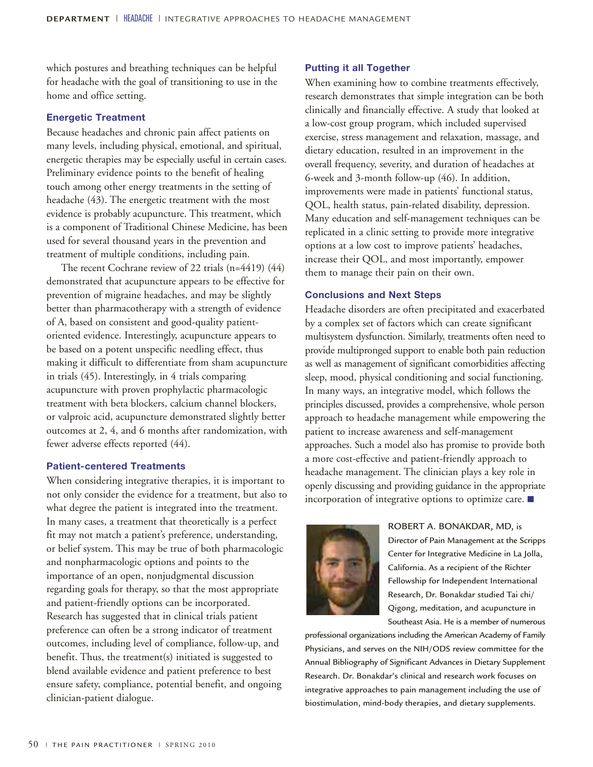which postures and breathing techniques can be helpful for headache with the goal of transitioning to use in the home and office setting.

#### **Energetic Treatment**

Because headaches and chronic pain affect patients on many levels, including physical, emotional, and spiritual, energetic therapies may be especially useful in certain cases. Preliminary evidence points to the benefit of healing touch among other energy treatments in the setting of headache (43). The energetic treatment with the most evidence is probably acupuncture. This treatment, which is a component of Traditional Chinese Medicine, has been used for several thousand years in the prevention and treatment of multiple conditions, including pain.

The recent Cochrane review of 22 trials (n=4419) (44) demonstrated that acupuncture appears to be effective for prevention of migraine headaches, and may be slightly better than pharmacotherapy with a strength of evidence of A, based on consistent and good-quality patientoriented evidence. Interestingly, acupuncture appears to be based on a potent unspecific needling effect, thus making it difficult to differentiate from sham acupuncture in trials (45). Interestingly, in 4 trials comparing acupuncture with proven prophylactic pharmacologic treatment with beta blockers, calcium channel blockers, or valproic acid, acupuncture demonstrated slightly better outcomes at 2, 4, and 6 months after randomization, with fewer adverse effects reported (44).

#### **Patient-centered Treatments**

When considering integrative therapies, it is important to not only consider the evidence for a treatment, but also to what degree the patient is integrated into the treatment. In many cases, a treatment that theoretically is a perfect fit may not match a patient's preference, understanding, or belief system. This may be true of both pharmacologic and nonpharmacologic options and points to the importance of an open, nonjudgmental discussion regarding goals for therapy, so that the most appropriate and patient-friendly options can be incorporated. Research has suggested that in clinical trials patient preference can often be a strong indicator of treatment outcomes, including level of compliance, follow-up, and benefit. Thus, the treatment(s) initiated is suggested to blend available evidence and patient preference to best ensure safety, compliance, potential benefit, and ongoing clinician-patient dialogue.

#### **Putting it all Together**

When examining how to combine treatments effectively, research demonstrates that simple integration can be both clinically and financially effective. A study that looked at a low-cost group program, which included supervised exercise, stress management and relaxation, massage, and dietary education, resulted in an improvement in the overall frequency, severity, and duration of headaches at 6-week and 3-month follow-up (46). In addition, improvements were made in patients' functional status, QOL, health status, pain-related disability, depression. Many education and self-management techniques can be replicated in a clinic setting to provide more integrative options at a low cost to improve patients' headaches, increase their QOL, and most importantly, empower them to manage their pain on their own.

#### **Conclusions and Next Steps**

Headache disorders are often precipitated and exacerbated by a complex set of factors which can create significant multisystem dysfunction. Similarly, treatments often need to provide multipronged support to enable both pain reduction as well as management of significant comorbidities affecting sleep, mood, physical conditioning and social functioning. In many ways, an integrative model, which follows the principles discussed, provides a comprehensive, whole person approach to headache management while empowering the patient to increase awareness and self-management approaches. Such a model also has promise to provide both a more cost-effective and patient-friendly approach to headache management. The clinician plays a key role in openly discussing and providing guidance in the appropriate incorporation of integrative options to optimize care. ■



ROBERT A. BONAKDAR, MD, is Director of Pain Management at the Scripps Center for Integrative Medicine in La Jolla, California. As a recipient of the Richter Fellowship for Independent International Research, Dr. Bonakdar studied Tai chi/ Qigong, meditation, and acupuncture in Southeast Asia. He is a member of numerous

professional organizations including the American Academy of Family Physicians, and serves on the NIH/ODS review committee for the Annual Bibliography of Significant Advances in Dietary Supplement Research. Dr. Bonakdar's clinical and research work focuses on integrative approaches to pain management including the use of biostimulation, mind-body therapies, and dietary supplements.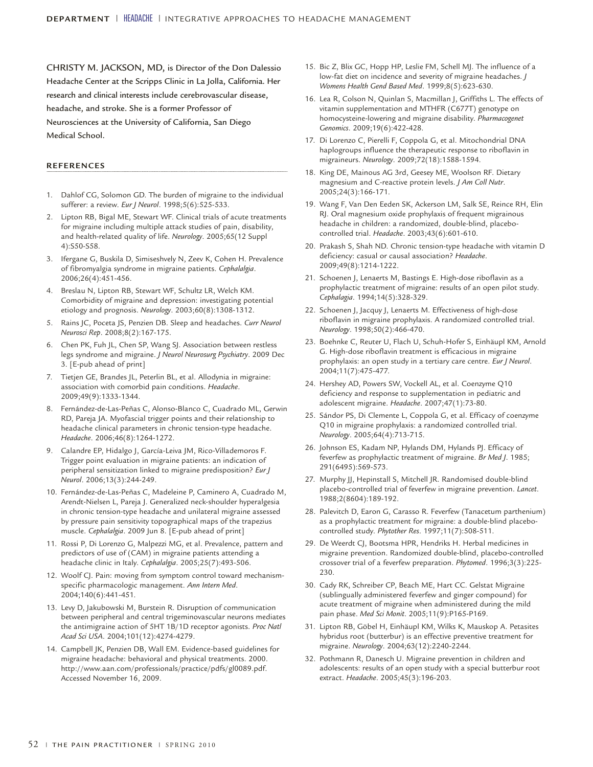CHRISTY M. JACKSON, MD, is Director of the Don Dalessio Headache Center at the Scripps Clinic in La Jolla, California. Her research and clinical interests include cerebrovascular disease, headache, and stroke. She is a former Professor of Neurosciences at the University of California, San Diego Medical School.

#### **REFERENCES**

- 1. Dahlof CG, Solomon GD. The burden of migraine to the individual sufferer: a review. *Eur J Neurol*. 1998;5(6):525-533.
- 2. Lipton RB, Bigal ME, Stewart WF. Clinical trials of acute treatments for migraine including multiple attack studies of pain, disability, and health-related quality of life. *Neurology*. 2005;65(12 Suppl 4):S50-S58.
- 3. Ifergane G, Buskila D, Simiseshvely N, Zeev K, Cohen H. Prevalence of fibromyalgia syndrome in migraine patients. *Cephalalgia*. 2006;26(4):451-456.
- Breslau N, Lipton RB, Stewart WF, Schultz LR, Welch KM. Comorbidity of migraine and depression: investigating potential etiology and prognosis. *Neurology*. 2003;60(8):1308-1312.
- 5. Rains JC, Poceta JS, Penzien DB. Sleep and headaches. *Curr Neurol Neurosci Rep*. 2008;8(2):167-175.
- 6. Chen PK, Fuh JL, Chen SP, Wang SJ. Association between restless legs syndrome and migraine. *J Neurol Neurosurg Psychiatry*. 2009 Dec 3. [E-pub ahead of print]
- Tietjen GE, Brandes JL, Peterlin BL, et al. Allodynia in migraine: association with comorbid pain conditions. *Headache*. 2009;49(9):1333-1344.
- 8. Fernández-de-Las-Peñas C, Alonso-Blanco C, Cuadrado ML, Gerwin RD, Pareja JA. Myofascial trigger points and their relationship to headache clinical parameters in chronic tension-type headache. *Headache*. 2006;46(8):1264-1272.
- 9. Calandre EP, Hidalgo J, García-Leiva JM, Rico-Villademoros F. Trigger point evaluation in migraine patients: an indication of peripheral sensitization linked to migraine predisposition? *Eur J Neurol*. 2006;13(3):244-249.
- 10. Fernández-de-Las-Peñas C, Madeleine P, Caminero A, Cuadrado M, Arendt-Nielsen L, Pareja J. Generalized neck-shoulder hyperalgesia in chronic tension-type headache and unilateral migraine assessed by pressure pain sensitivity topographical maps of the trapezius muscle. *Cephalalgia*. 2009 Jun 8. [E-pub ahead of print]
- 11. Rossi P, Di Lorenzo G, Malpezzi MG, et al. Prevalence, pattern and predictors of use of (CAM) in migraine patients attending a headache clinic in Italy. *Cephalalgia*. 2005;25(7):493-506.
- 12. Woolf CJ. Pain: moving from symptom control toward mechanismspecific pharmacologic management. *Ann Intern Med*. 2004;140(6):441-451.
- 13. Levy D, Jakubowski M, Burstein R. Disruption of communication between peripheral and central trigeminovascular neurons mediates the antimigraine action of 5HT 1B/1D receptor agonists. *Proc Natl Acad Sci USA*. 2004;101(12):4274-4279.
- 14. Campbell JK, Penzien DB, Wall EM. Evidence-based guidelines for migraine headache: behavioral and physical treatments. 2000. http://www.aan.com/professionals/practice/pdfs/gl0089.pdf. Accessed November 16, 2009.
- 15. Bic Z, Blix GC, Hopp HP, Leslie FM, Schell MJ. The influence of a low-fat diet on incidence and severity of migraine headaches. *J Womens Health Gend Based Med*. 1999;8(5):623-630.
- 16. Lea R, Colson N, Quinlan S, Macmillan J, Griffiths L. The effects of vitamin supplementation and MTHFR (C677T) genotype on homocysteine-lowering and migraine disability. *Pharmacogenet Genomics*. 2009;19(6):422-428.
- 17. Di Lorenzo C, Pierelli F, Coppola G, et al. Mitochondrial DNA haplogroups influence the therapeutic response to riboflavin in migraineurs. *Neurology*. 2009;72(18):1588-1594.
- 18. King DE, Mainous AG 3rd, Geesey ME, Woolson RF. Dietary magnesium and C-reactive protein levels. *J Am Coll Nutr*. 2005;24(3):166-171.
- 19. Wang F, Van Den Eeden SK, Ackerson LM, Salk SE, Reince RH, Elin RJ. Oral magnesium oxide prophylaxis of frequent migrainous headache in children: a randomized, double-blind, placebocontrolled trial. *Headache*. 2003;43(6):601-610.
- 20. Prakash S, Shah ND. Chronic tension-type headache with vitamin D deficiency: casual or causal association? *Headache*. 2009;49(8):1214-1222.
- 21. Schoenen J, Lenaerts M, Bastings E. High-dose riboflavin as a prophylactic treatment of migraine: results of an open pilot study. *Cephalagia*. 1994;14(5):328-329.
- 22. Schoenen J, Jacquy J, Lenaerts M. Effectiveness of high-dose riboflavin in migraine prophylaxis. A randomized controlled trial. *Neurology*. 1998;50(2):466-470.
- 23. Boehnke C, Reuter U, Flach U, Schuh-Hofer S, Einhäupl KM, Arnold G. High-dose riboflavin treatment is efficacious in migraine prophylaxis: an open study in a tertiary care centre. *Eur J Neurol*. 2004;11(7):475-477.
- 24. Hershey AD, Powers SW, Vockell AL, et al. Coenzyme Q10 deficiency and response to supplementation in pediatric and adolescent migraine. *Headache*. 2007;47(1):73-80.
- 25. Sándor PS, Di Clemente L, Coppola G, et al. Efficacy of coenzyme Q10 in migraine prophylaxis: a randomized controlled trial. *Neurology*. 2005;64(4):713-715.
- 26. Johnson ES, Kadam NP, Hylands DM, Hylands PJ. Efficacy of feverfew as prophylactic treatment of migraine. *Br Med J*. 1985; 291(6495):569-573.
- 27. Murphy JJ, Hepinstall S, Mitchell JR. Randomised double-blind placebo-controlled trial of feverfew in migraine prevention. *Lancet*. 1988;2(8604):189-192.
- 28. Palevitch D, Earon G, Carasso R. Feverfew (Tanacetum parthenium) as a prophylactic treatment for migraine: a double-blind placebocontrolled study. *Phytother Res*. 1997;11(7):508-511.
- 29. De Weerdt CJ, Bootsma HPR, Hendriks H. Herbal medicines in migraine prevention. Randomized double-blind, placebo-controlled crossover trial of a feverfew preparation. *Phytomed*. 1996;3(3):225- 230.
- 30. Cady RK, Schreiber CP, Beach ME, Hart CC. Gelstat Migraine (sublingually administered feverfew and ginger compound) for acute treatment of migraine when administered during the mild pain phase. *Med Sci Monit*. 2005;11(9):P165-P169.
- 31. Lipton RB, Göbel H, Einhäupl KM, Wilks K, Mauskop A. Petasites hybridus root (butterbur) is an effective preventive treatment for migraine. *Neurology*. 2004;63(12):2240-2244.
- 32. Pothmann R, Danesch U. Migraine prevention in children and adolescents: results of an open study with a special butterbur root extract. *Headache*. 2005;45(3):196-203.